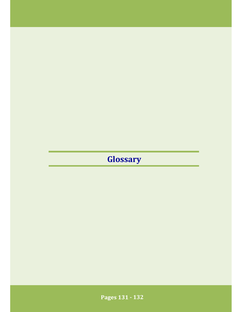## **Glossary**

- 132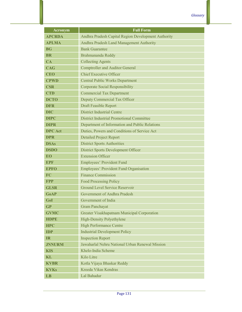| <b>Acronym</b> | <b>Full Form</b>                                    |
|----------------|-----------------------------------------------------|
| <b>APCRDA</b>  | Andhra Pradesh Capital Region Development Authority |
| <b>APLMA</b>   | Andhra Pradesh Land Management Authority            |
| BGF            | <b>Bank Guarantee</b>                               |
| <b>BR</b>      | Brahmananda Reddy                                   |
| CA             | <b>Collecting Agents</b>                            |
| <b>CAG</b>     | <b>Comptroller and Auditor General</b>              |
| <b>CEO</b>     | <b>Chief Executive Officer</b>                      |
| <b>CPWD</b>    | <b>Central Public Works Department</b>              |
| <b>CSR</b>     | <b>Corporate Social Responsibility</b>              |
| <b>CTD</b>     | <b>Commercial Tax Department</b>                    |
| <b>DCTO</b>    | Deputy Commercial Tax Officer                       |
| DFR            | <b>Draft Feasible Report</b>                        |
| <b>DIC</b>     | <b>District Industrial Centre</b>                   |
| <b>DIPC</b>    | <b>District Industrial Promotional Committee</b>    |
| <b>DIPR</b>    | Department of Information and Public Relations      |
| <b>DPC</b> Act | Duties, Powers and Conditions of Service Act        |
| <b>DPR</b>     | <b>Detailed Project Report</b>                      |
| <b>DSAs</b>    | <b>District Sports Authorities</b>                  |
| <b>DSDO</b>    | <b>District Sports Development Officer</b>          |
| <b>EO</b>      | <b>Extension Officer</b>                            |
| EPR            | Employees' Provident Fund                           |
| <b>EPFO</b>    | <b>Employees' Provident Fund Organisation</b>       |
| FC             | <b>Finance Commission</b>                           |
| <b>FPP</b>     | <b>Food Processing Policy</b>                       |
| <b>GLSR</b>    | Ground Level Service Reservoir                      |
| <b>GoAP</b>    | Government of Andhra Pradesh                        |
| GoI            | Government of India                                 |
| <b>GP</b>      | <b>Gram Panchayat</b>                               |
| <b>GVMC</b>    | Greater Visakhapatnam Municipal Corporation         |
| <b>HDPE</b>    | <b>High-Density Polyethylene</b>                    |
| <b>HPC</b>     | <b>High Performance Centre</b>                      |
| <b>IDP</b>     | <b>Industrial Development Policy</b>                |
| $\mathbf{IR}$  | <b>Inspection Report</b>                            |
| <b>JNNURM</b>  | Jawaharlal Nehru National Urban Renewal Mission     |
| <b>KIS</b>     | Khelo-India Scheme                                  |
| KL             | Kilo Litre                                          |
| <b>KVBR</b>    | Kotla Vijaya Bhaskar Reddy                          |
| <b>KVKs</b>    | Kreeda Vikas Kendras                                |
| LB             | Lal Bahadur                                         |